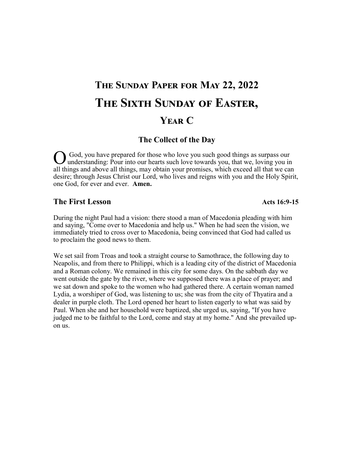# **The Sunday Paper for May 22, 2022 The Sixth Sunday of Easter, Year C**

#### **The Collect of the Day**

O understanding: Pour into our hearts such love towards you, that we, loving you in God, you have prepared for those who love you such good things as surpass our all things and above all things, may obtain your promises, which exceed all that we can desire; through Jesus Christ our Lord, who lives and reigns with you and the Holy Spirit, one God, for ever and ever. **Amen.** 

#### **The First Lesson**

During the night Paul had a vision: there stood a man of Macedonia pleading with him and saying, "Come over to Macedonia and help us." When he had seen the vision, we immediately tried to cross over to Macedonia, being convinced that God had called us to proclaim the good news to them.

We set sail from Troas and took a straight course to Samothrace, the following day to Neapolis, and from there to Philippi, which is a leading city of the district of Macedonia and a Roman colony. We remained in this city for some days. On the sabbath day we went outside the gate by the river, where we supposed there was a place of prayer; and we sat down and spoke to the women who had gathered there. A certain woman named Lydia, a worshiper of God, was listening to us; she was from the city of Thyatira and a dealer in purple cloth. The Lord opened her heart to listen eagerly to what was said by Paul. When she and her household were baptized, she urged us, saying, "If you have judged me to be faithful to the Lord, come and stay at my home." And she prevailed upon us.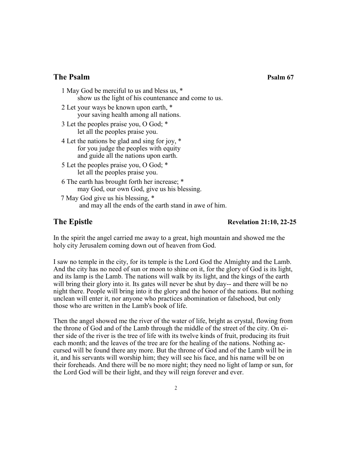#### **The Psalm 67 Psalm 67**

| 1 May God be merciful to us and bless us, *<br>show us the light of his countenance and come to us.                             |
|---------------------------------------------------------------------------------------------------------------------------------|
| 2 Let your ways be known upon earth, *<br>your saving health among all nations.                                                 |
| 3 Let the peoples praise you, O God; *<br>let all the peoples praise you.                                                       |
| 4 Let the nations be glad and sing for joy, *<br>for you judge the peoples with equity<br>and guide all the nations upon earth. |
| 5 Let the peoples praise you, O God; *<br>let all the peoples praise you.                                                       |
| 6 The earth has brought forth her increase; *<br>may God, our own God, give us his blessing.                                    |
| 7 May God give us his blessing *                                                                                                |

7 May God give us his blessing, \* and may all the ends of the earth stand in awe of him.

#### **The Epistle Revelation 21:10, 22-25**

In the spirit the angel carried me away to a great, high mountain and showed me the holy city Jerusalem coming down out of heaven from God.

I saw no temple in the city, for its temple is the Lord God the Almighty and the Lamb. And the city has no need of sun or moon to shine on it, for the glory of God is its light, and its lamp is the Lamb. The nations will walk by its light, and the kings of the earth will bring their glory into it. Its gates will never be shut by day-- and there will be no night there. People will bring into it the glory and the honor of the nations. But nothing unclean will enter it, nor anyone who practices abomination or falsehood, but only those who are written in the Lamb's book of life.

Then the angel showed me the river of the water of life, bright as crystal, flowing from the throne of God and of the Lamb through the middle of the street of the city. On either side of the river is the tree of life with its twelve kinds of fruit, producing its fruit each month; and the leaves of the tree are for the healing of the nations. Nothing accursed will be found there any more. But the throne of God and of the Lamb will be in it, and his servants will worship him; they will see his face, and his name will be on their foreheads. And there will be no more night; they need no light of lamp or sun, for the Lord God will be their light, and they will reign forever and ever.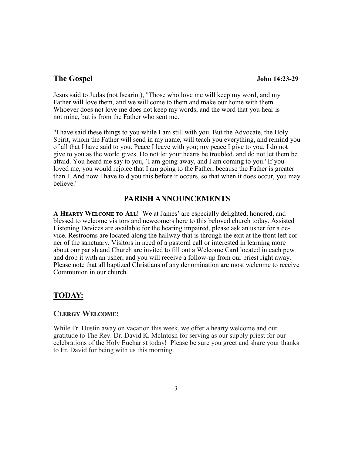#### **The Gospel John 14:23-29**

Jesus said to Judas (not Iscariot), "Those who love me will keep my word, and my Father will love them, and we will come to them and make our home with them. Whoever does not love me does not keep my words; and the word that you hear is not mine, but is from the Father who sent me.

"I have said these things to you while I am still with you. But the Advocate, the Holy Spirit, whom the Father will send in my name, will teach you everything, and remind you of all that I have said to you. Peace I leave with you; my peace I give to you. I do not give to you as the world gives. Do not let your hearts be troubled, and do not let them be afraid. You heard me say to you, `I am going away, and I am coming to you.' If you loved me, you would rejoice that I am going to the Father, because the Father is greater than I. And now I have told you this before it occurs, so that when it does occur, you may believe."

#### **PARISH ANNOUNCEMENTS**

**A Hearty Welcome to All**! We at James' are especially delighted, honored, and blessed to welcome visitors and newcomers here to this beloved church today. Assisted Listening Devices are available for the hearing impaired, please ask an usher for a device. Restrooms are located along the hallway that is through the exit at the front left corner of the sanctuary. Visitors in need of a pastoral call or interested in learning more about our parish and Church are invited to fill out a Welcome Card located in each pew and drop it with an usher, and you will receive a follow-up from our priest right away. Please note that all baptized Christians of any denomination are most welcome to receive Communion in our church.

#### **TODAY:**

#### **Clergy Welcome:**

While Fr. Dustin away on vacation this week, we offer a hearty welcome and our gratitude to The Rev. Dr. David K. McIntosh for serving as our supply priest for our celebrations of the Holy Eucharist today! Please be sure you greet and share your thanks to Fr. David for being with us this morning.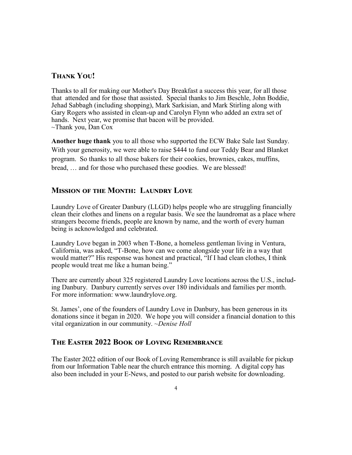### **Thank You!**

Thanks to all for making our Mother's Day Breakfast a success this year, for all those that attended and for those that assisted. Special thanks to Jim Beschle, John Boddie, Jehad Sabbagh (including shopping), Mark Sarkisian, and Mark Stirling along with Gary Rogers who assisted in clean-up and Carolyn Flynn who added an extra set of hands. Next year, we promise that bacon will be provided. ~Thank you, Dan Cox

**Another huge thank** you to all those who supported the ECW Bake Sale last Sunday. With your generosity, we were able to raise \$444 to fund our Teddy Bear and Blanket program. So thanks to all those bakers for their cookies, brownies, cakes, muffins, bread, … and for those who purchased these goodies. We are blessed!

#### **Mission of the Month: Laundry Love**

Laundry Love of Greater Danbury (LLGD) helps people who are struggling financially clean their clothes and linens on a regular basis. We see the laundromat as a place where strangers become friends, people are known by name, and the worth of every human being is acknowledged and celebrated.

Laundry Love began in 2003 when T-Bone, a homeless gentleman living in Ventura, California, was asked, "T-Bone, how can we come alongside your life in a way that would matter?" His response was honest and practical, "If I had clean clothes, I think people would treat me like a human being."

There are currently about 325 registered Laundry Love locations across the U.S., including Danbury. Danbury currently serves over 180 individuals and families per month. For more information: www.laundrylove.org.

St. James', one of the founders of Laundry Love in Danbury, has been generous in its donations since it began in 2020. We hope you will consider a financial donation to this vital organization in our community. *~Denise Holl*

#### **The Easter 2022 Book of Loving Remembrance**

The Easter 2022 edition of our Book of Loving Remembrance is still available for pickup from our Information Table near the church entrance this morning. A digital copy has also been included in your E-News, and posted to our parish website for downloading.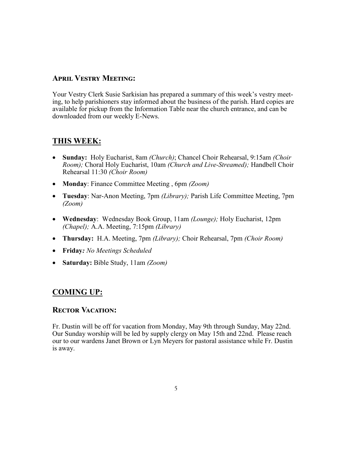#### **April Vestry Meeting:**

Your Vestry Clerk Susie Sarkisian has prepared a summary of this week's vestry meeting, to help parishioners stay informed about the business of the parish. Hard copies are available for pickup from the Information Table near the church entrance, and can be downloaded from our weekly E-News.

# **THIS WEEK:**

- **Sunday:** Holy Eucharist, 8am *(Church)*; Chancel Choir Rehearsal, 9:15am *(Choir Room);* Choral Holy Eucharist, 10am *(Church and Live-Streamed);* Handbell Choir Rehearsal 11:30 *(Choir Room)*
- **Monday**: Finance Committee Meeting , 6pm *(Zoom)*
- **Tuesday**: Nar-Anon Meeting, 7pm *(Library);* Parish Life Committee Meeting, 7pm *(Zoom)*
- **Wednesday**: Wednesday Book Group, 11am *(Lounge);* Holy Eucharist, 12pm *(Chapel);* A.A. Meeting, 7:15pm *(Library)*
- **Thursday:** H.A. Meeting, 7pm *(Library);* Choir Rehearsal, 7pm *(Choir Room)*
- **Friday***: No Meetings Scheduled*
- **Saturday:** Bible Study, 11am *(Zoom)*

# **COMING UP:**

### **Rector Vacation:**

Fr. Dustin will be off for vacation from Monday, May 9th through Sunday, May 22nd. Our Sunday worship will be led by supply clergy on May 15th and 22nd. Please reach our to our wardens Janet Brown or Lyn Meyers for pastoral assistance while Fr. Dustin is away.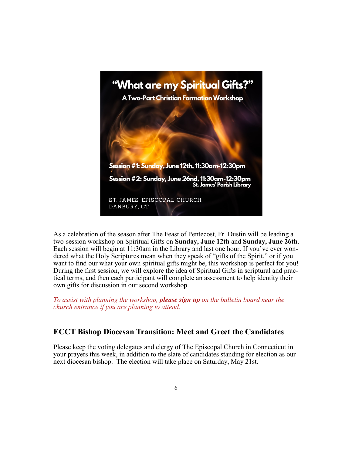

As a celebration of the season after The Feast of Pentecost, Fr. Dustin will be leading a two-session workshop on Spiritual Gifts on **Sunday, June 12th** and **Sunday, June 26th**. Each session will begin at 11:30am in the Library and last one hour. If you've ever wondered what the Holy Scriptures mean when they speak of "gifts of the Spirit," or if you want to find our what your own spiritual gifts might be, this workshop is perfect for you! During the first session, we will explore the idea of Spiritual Gifts in scriptural and practical terms, and then each participant will complete an assessment to help identity their own gifts for discussion in our second workshop.

*To assist with planning the workshop, please sign up on the bulletin board near the church entrance if you are planning to attend.*

# **ECCT Bishop Diocesan Transition: Meet and Greet the Candidates**

Please keep the voting delegates and clergy of The Episcopal Church in Connecticut in your prayers this week, in addition to the slate of candidates standing for election as our next diocesan bishop. The election will take place on Saturday, May 21st.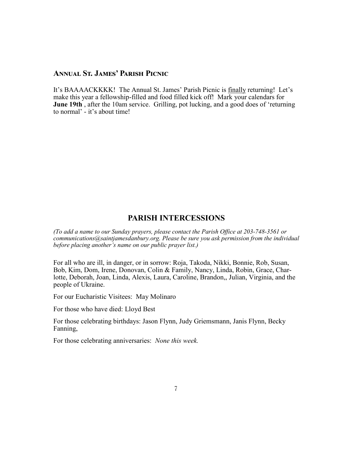#### **Annual St. James' Parish Picnic**

It's BAAAACKKKK! The Annual St. James' Parish Picnic is finally returning! Let's make this year a fellowship-filled and food filled kick off! Mark your calendars for **June 19th** , after the 10am service. Grilling, pot lucking, and a good does of 'returning to normal' - it's about time!

#### **PARISH INTERCESSIONS**

*(To add a name to our Sunday prayers, please contact the Parish Office at 203-748-3561 or communications@saintjamesdanbury.org. Please be sure you ask permission from the individual before placing another's name on our public prayer list.)*

For all who are ill, in danger, or in sorrow: Roja, Takoda, Nikki, Bonnie, Rob, Susan, Bob, Kim, Dom, Irene, Donovan, Colin & Family, Nancy, Linda, Robin, Grace, Charlotte, Deborah, Joan, Linda, Alexis, Laura, Caroline, Brandon,, Julian, Virginia, and the people of Ukraine.

For our Eucharistic Visitees: May Molinaro

For those who have died: Lloyd Best

For those celebrating birthdays: Jason Flynn, Judy Griemsmann, Janis Flynn, Becky Fanning,

For those celebrating anniversaries: *None this week.*